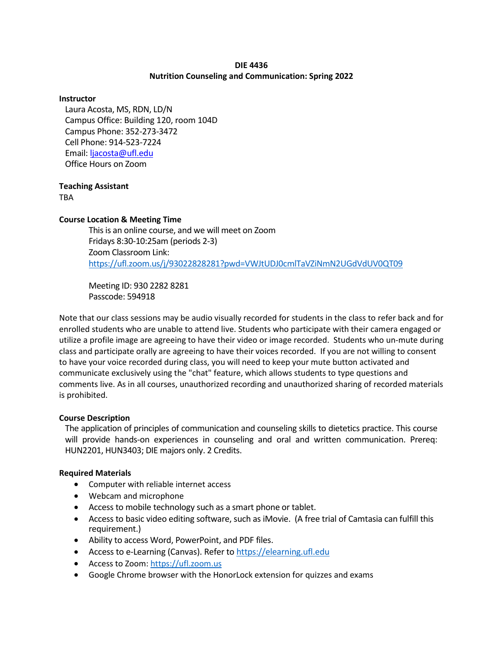### **DIE 4436 Nutrition Counseling and Communication: Spring 2022**

#### **Instructor**

Laura Acosta, MS, RDN, LD/N Campus Office: Building 120, room 104D Campus Phone: 352-273-3472 Cell Phone: 914-523-7224 Email[: ljacosta@ufl.edu](mailto:ljacosta@ufl.edu) Office Hours on Zoom

## **Teaching Assistant**

TBA

## **Course Location & Meeting Time**

This is an online course, and we will meet on Zoom Fridays 8:30-10:25am (periods 2-3) Zoom Classroom Link: <https://ufl.zoom.us/j/93022828281?pwd=VWJtUDJ0cmlTaVZiNmN2UGdVdUV0QT09>

Meeting ID: 930 2282 8281 Passcode: 594918

Note that our class sessions may be audio visually recorded for students in the class to refer back and for enrolled students who are unable to attend live. Students who participate with their camera engaged or utilize a profile image are agreeing to have their video or image recorded. Students who un-mute during class and participate orally are agreeing to have their voices recorded. If you are not willing to consent to have your voice recorded during class, you will need to keep your mute button activated and communicate exclusively using the "chat" feature, which allows students to type questions and comments live. As in all courses, unauthorized recording and unauthorized sharing of recorded materials is prohibited.

## **Course Description**

The application of principles of communication and counseling skills to dietetics practice. This course will provide hands-on experiences in counseling and oral and written communication. Prereq: HUN2201, HUN3403; DIE majors only. 2 Credits.

## **Required Materials**

- Computer with reliable internet access
- Webcam and microphone
- Access to mobile technology such as a smart phone or tablet.
- Access to basic video editing software, such as iMovie. (A free trial of Camtasia can fulfill this requirement.)
- Ability to access Word, PowerPoint, and PDF files.
- Access to e-Learning (Canvas). Refer to [https://elearning.ufl.edu](https://elearning.ufl.edu/)
- Access to Zoom: https://ufl.zoom.us
- Google Chrome browser with the HonorLock extension for quizzes and exams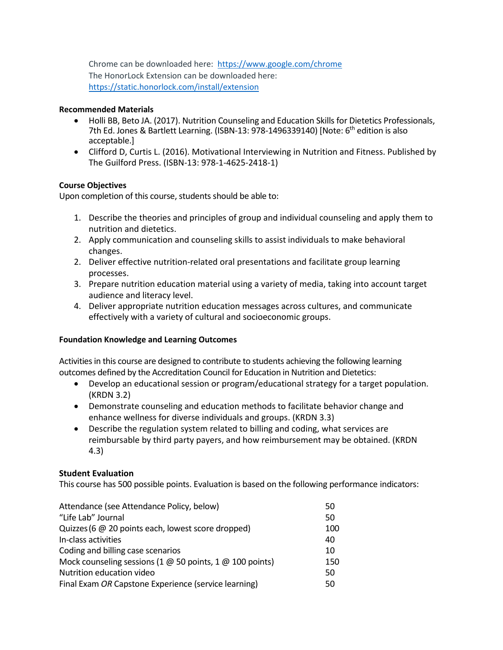Chrome can be downloaded here: <https://www.google.com/chrome> The HonorLock Extension can be downloaded here: <https://static.honorlock.com/install/extension>

## **Recommended Materials**

- Holli BB, Beto JA. (2017). Nutrition Counseling and Education Skills for Dietetics Professionals, 7th Ed. Jones & Bartlett Learning. (ISBN-13: 978-1496339140) [Note: 6<sup>th</sup> edition is also acceptable.]
- Clifford D, Curtis L. (2016). Motivational Interviewing in Nutrition and Fitness. Published by The Guilford Press. (ISBN-13: 978-1-4625-2418-1)

## **Course Objectives**

Upon completion of this course, students should be able to:

- 1. Describe the theories and principles of group and individual counseling and apply them to nutrition and dietetics.
- 2. Apply communication and counseling skills to assist individuals to make behavioral changes.
- 2. Deliver effective nutrition-related oral presentations and facilitate group learning processes.
- 3. Prepare nutrition education material using a variety of media, taking into account target audience and literacy level.
- 4. Deliver appropriate nutrition education messages across cultures, and communicate effectively with a variety of cultural and socioeconomic groups.

## **Foundation Knowledge and Learning Outcomes**

Activities in this course are designed to contribute to students achieving the following learning outcomes defined by the Accreditation Council for Education in Nutrition and Dietetics:

- Develop an educational session or program/educational strategy for a target population. (KRDN 3.2)
- Demonstrate counseling and education methods to facilitate behavior change and enhance wellness for diverse individuals and groups. (KRDN 3.3)
- Describe the regulation system related to billing and coding, what services are reimbursable by third party payers, and how reimbursement may be obtained. (KRDN 4.3)

## **Student Evaluation**

This course has 500 possible points. Evaluation is based on the following performance indicators:

| Attendance (see Attendance Policy, below)                              | 50  |
|------------------------------------------------------------------------|-----|
| "Life Lab" Journal                                                     | 50  |
| Quizzes (6 @ 20 points each, lowest score dropped)                     | 100 |
| In-class activities                                                    | 40  |
| Coding and billing case scenarios                                      | 10  |
| Mock counseling sessions (1 $\omega$ 50 points, 1 $\omega$ 100 points) | 150 |
| Nutrition education video                                              | 50  |
| Final Exam OR Capstone Experience (service learning)                   | 50  |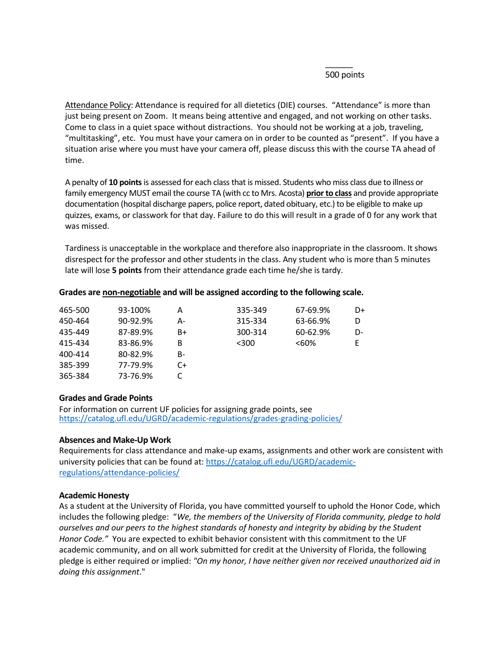### $\overline{\phantom{a}}$ 500 points

Attendance Policy: Attendance is required for all dietetics (DIE) courses. "Attendance" is more than just being present on Zoom. It means being attentive and engaged, and not working on other tasks. Come to class in a quiet space without distractions. You should not be working at a job, traveling, "multitasking", etc. You must have your camera on in order to be counted as "present". If you have a situation arise where you must have your camera off, please discuss this with the course TA ahead of time.

A penalty of **10 points** is assessed for each class that is missed. Students who miss class due to illness or family emergency MUST email the course TA (with cc to Mrs. Acosta) **prior to class** and provide appropriate documentation (hospital discharge papers, police report, dated obituary, etc.) to be eligible to make up quizzes, exams, or classwork for that day. Failure to do this will result in a grade of 0 for any work that was missed.

Tardiness is unacceptable in the workplace and therefore also inappropriate in the classroom. It shows disrespect for the professor and other students in the class. Any student who is more than 5 minutes late will lose **5 points** from their attendance grade each time he/she is tardy.

| 465-500 | 93-100%  | А    | 335-349 | 67-69.9% | D+ |
|---------|----------|------|---------|----------|----|
| 450-464 | 90-92.9% | А-   | 315-334 | 63-66.9% |    |
| 435-449 | 87-89.9% | B+   | 300-314 | 60-62.9% | D- |
| 415-434 | 83-86.9% | В    | $<$ 300 | $< 60\%$ | E. |
| 400-414 | 80-82.9% | B-   |         |          |    |
| 385-399 | 77-79.9% | $C+$ |         |          |    |
| 365-384 | 73-76.9% |      |         |          |    |
|         |          |      |         |          |    |

### **Grades are non-negotiable and will be assigned according to the following scale.**

#### **Grades and Grade Points**

For information on current UF policies for assigning grade points, see <https://catalog.ufl.edu/UGRD/academic-regulations/grades-grading-policies/>

## **Absences and Make-Up Work**

Requirements for class attendance and make-up exams, assignments and other work are consistent with university policies that can be found at: https://catalog.ufl.edu/UGRD/academicregulations/attendance-policies/

#### **Academic Honesty**

As a student at the University of Florida, you have committed yourself to uphold the Honor Code, which includes the following pledge: "*We, the members of the University of Florida community, pledge to hold ourselves and our peers to the highest standards of honesty and integrity by abiding by the Student Honor Code."* You are expected to exhibit behavior consistent with this commitment to the UF academic community, and on all work submitted for credit at the University of Florida, the following pledge is either required or implied: *"On my honor, I have neither given nor received unauthorized aid in doing this assignment*."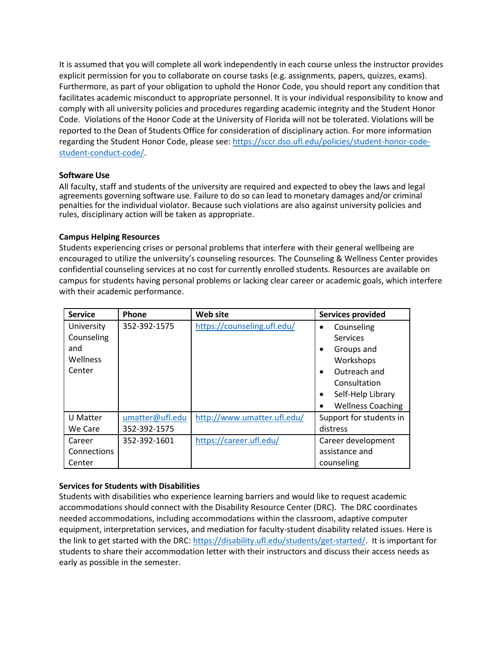It is assumed that you will complete all work independently in each course unless the instructor provides explicit permission for you to collaborate on course tasks (e.g. assignments, papers, quizzes, exams). Furthermore, as part of your obligation to uphold the Honor Code, you should report any condition that facilitates academic misconduct to appropriate personnel. It is your individual responsibility to know and comply with all university policies and procedures regarding academic integrity and the Student Honor Code. Violations of the Honor Code at the University of Florida will not be tolerated. Violations will be reported to the Dean of Students Office for consideration of disciplinary action. For more information regarding the Student Honor Code, please see: [https://sccr.dso.ufl.edu/policies/student-honor-code](https://sccr.dso.ufl.edu/policies/student-honor-code-student-conduct-code/)[student-conduct-code/.](https://sccr.dso.ufl.edu/policies/student-honor-code-student-conduct-code/)

## **Software Use**

All faculty, staff and students of the university are required and expected to obey the laws and legal agreements governing software use. Failure to do so can lead to monetary damages and/or criminal penalties for the individual violator. Because such violations are also against university policies and rules, disciplinary action will be taken as appropriate.

## **Campus Helping Resources**

Students experiencing crises or personal problems that interfere with their general wellbeing are encouraged to utilize the university's counseling resources. The Counseling & Wellness Center provides confidential counseling services at no cost for currently enrolled students. Resources are available on campus for students having personal problems or lacking clear career or academic goals, which interfere with their academic performance.

| <b>Service</b>     | Phone           | Web site                    | <b>Services provided</b>       |
|--------------------|-----------------|-----------------------------|--------------------------------|
| University         | 352-392-1575    | https://counseling.ufl.edu/ | Counseling<br>$\bullet$        |
| Counseling         |                 |                             | <b>Services</b>                |
| and                |                 |                             | Groups and<br>$\bullet$        |
| Wellness           |                 |                             | Workshops                      |
| Center             |                 |                             | Outreach and<br>$\bullet$      |
|                    |                 |                             | Consultation                   |
|                    |                 |                             | Self-Help Library<br>$\bullet$ |
|                    |                 |                             | <b>Wellness Coaching</b>       |
| U Matter           | umatter@ufl.edu | http://www.umatter.ufl.edu/ | Support for students in        |
| We Care            | 352-392-1575    |                             | distress                       |
| Career             | 352-392-1601    | https://career.ufl.edu/     | Career development             |
| <b>Connections</b> |                 |                             | assistance and                 |
| Center             |                 |                             | counseling                     |

## **Services for Students with Disabilities**

Students with disabilities who experience learning barriers and would like to request academic accommodations should connect with the Disability Resource Center (DRC). The DRC coordinates needed accommodations, including accommodations within the classroom, adaptive computer equipment, interpretation services, and mediation for faculty-student disability related issues. Here is the link to get started with the DRC: [https://disability.ufl.edu/students/get-started/.](https://disability.ufl.edu/students/get-started/) It is important for students to share their accommodation letter with their instructors and discuss their access needs as early as possible in the semester.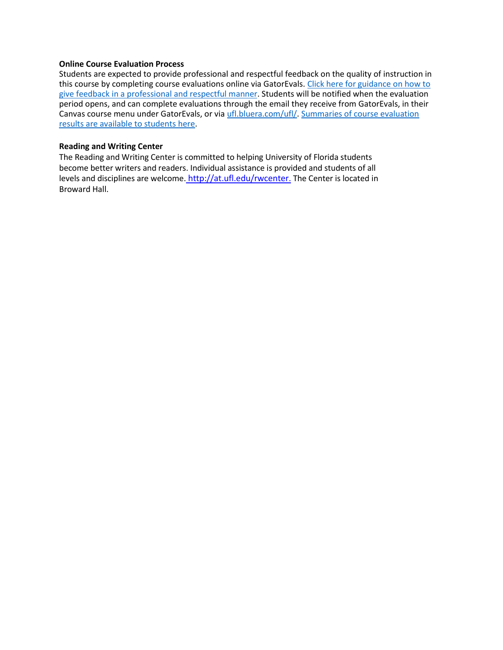#### **Online Course Evaluation Process**

Students are expected to provide professional and respectful feedback on the quality of instruction in this course by completing course evaluations online via GatorEvals. [Click here for guidance on how to](file:///C:/Users/lilyrlewis/AppData/Local/Microsoft/Windows/INetCache/Content.Outlook/LU96BFUU/gatorevals.aa.ufl.edu/students/)  [give feedback in a professional and respectful manner.](file:///C:/Users/lilyrlewis/AppData/Local/Microsoft/Windows/INetCache/Content.Outlook/LU96BFUU/gatorevals.aa.ufl.edu/students/) Students will be notified when the evaluation period opens, and can complete evaluations through the email they receive from GatorEvals, in their Canvas course menu under GatorEvals, or via [ufl.bluera.com/ufl/.](https://ufl.bluera.com/ufl/) [Summaries of course evaluation](https://gatorevals.aa.ufl.edu/public-results/)  [results are available to students here.](https://gatorevals.aa.ufl.edu/public-results/)

#### **Reading and Writing Center**

The Reading and Writing Center is committed to helping University of Florida students become better writers and readers. Individual assistance is provided and students of all levels and disciplines are welcome[.](http://at.ufl.edu/rwcenter) [http://at.ufl.edu/rwcenter](http://the/). The Center is located in Broward Hall.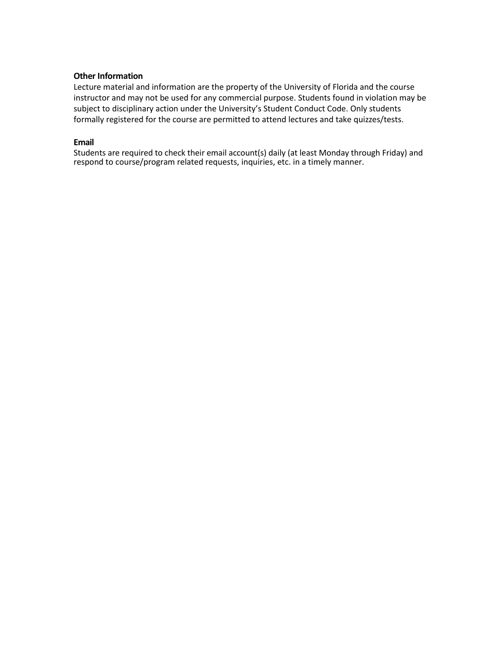## **Other Information**

Lecture material and information are the property of the University of Florida and the course instructor and may not be used for any commercial purpose. Students found in violation may be subject to disciplinary action under the University's Student Conduct Code. Only students formally registered for the course are permitted to attend lectures and take quizzes/tests.

### **Email**

Students are required to check their email account(s) daily (at least Monday through Friday) and respond to course/program related requests, inquiries, etc. in a timely manner.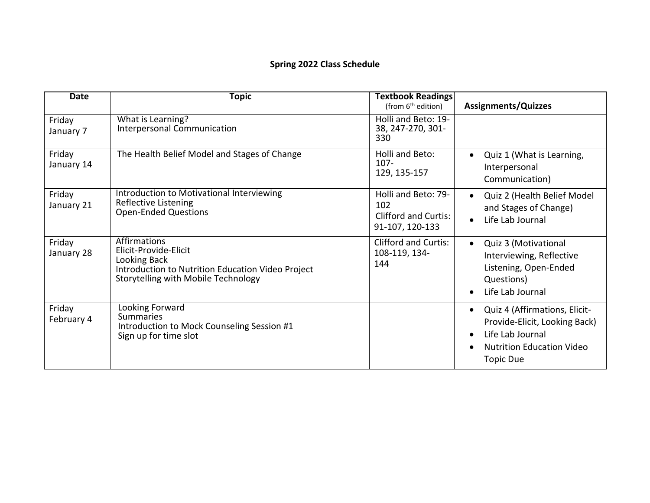# **Spring 2022 Class Schedule**

| <b>Date</b>          | <b>Topic</b>                                                                                                                                             | <b>Textbook Readings</b><br>(from 6 <sup>th</sup> edition)                   | <b>Assignments/Quizzes</b>                                                                                                                                           |
|----------------------|----------------------------------------------------------------------------------------------------------------------------------------------------------|------------------------------------------------------------------------------|----------------------------------------------------------------------------------------------------------------------------------------------------------------------|
| Friday<br>January 7  | What is Learning?<br>Interpersonal Communication                                                                                                         | Holli and Beto: 19-<br>38, 247-270, 301-<br>330                              |                                                                                                                                                                      |
| Friday<br>January 14 | The Health Belief Model and Stages of Change                                                                                                             | Holli and Beto:<br>$107 -$<br>129, 135-157                                   | Quiz 1 (What is Learning,<br>Interpersonal<br>Communication)                                                                                                         |
| Friday<br>January 21 | Introduction to Motivational Interviewing<br>Reflective Listening<br><b>Open-Ended Questions</b>                                                         | Holli and Beto: 79-<br>102<br><b>Clifford and Curtis:</b><br>91-107, 120-133 | Quiz 2 (Health Belief Model<br>and Stages of Change)<br>Life Lab Journal<br>$\bullet$                                                                                |
| Friday<br>January 28 | <b>Affirmations</b><br>Elicit-Provide-Elicit<br>Looking Back<br>Introduction to Nutrition Education Video Project<br>Storytelling with Mobile Technology | <b>Clifford and Curtis:</b><br>108-119, 134-<br>144                          | Quiz 3 (Motivational<br>$\bullet$<br>Interviewing, Reflective<br>Listening, Open-Ended<br>Questions)<br>Life Lab Journal                                             |
| Friday<br>February 4 | Looking Forward<br><b>Summaries</b><br>Introduction to Mock Counseling Session #1<br>Sign up for time slot                                               |                                                                              | Quiz 4 (Affirmations, Elicit-<br>$\bullet$<br>Provide-Elicit, Looking Back)<br>Life Lab Journal<br>$\bullet$<br><b>Nutrition Education Video</b><br><b>Topic Due</b> |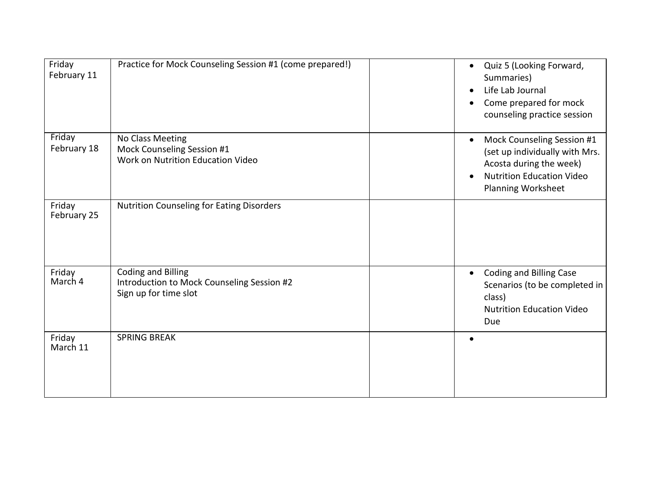| Friday<br>February 11 | Practice for Mock Counseling Session #1 (come prepared!)                                         | Quiz 5 (Looking Forward,<br>$\bullet$<br>Summaries)<br>Life Lab Journal<br>$\bullet$<br>Come prepared for mock<br>counseling practice session                         |
|-----------------------|--------------------------------------------------------------------------------------------------|-----------------------------------------------------------------------------------------------------------------------------------------------------------------------|
| Friday<br>February 18 | No Class Meeting<br>Mock Counseling Session #1<br>Work on Nutrition Education Video              | Mock Counseling Session #1<br>$\bullet$<br>(set up individually with Mrs.<br>Acosta during the week)<br><b>Nutrition Education Video</b><br><b>Planning Worksheet</b> |
| Friday<br>February 25 | <b>Nutrition Counseling for Eating Disorders</b>                                                 |                                                                                                                                                                       |
| Friday<br>March 4     | <b>Coding and Billing</b><br>Introduction to Mock Counseling Session #2<br>Sign up for time slot | Coding and Billing Case<br>$\bullet$<br>Scenarios (to be completed in<br>class)<br><b>Nutrition Education Video</b><br>Due                                            |
| Friday<br>March 11    | <b>SPRING BREAK</b>                                                                              |                                                                                                                                                                       |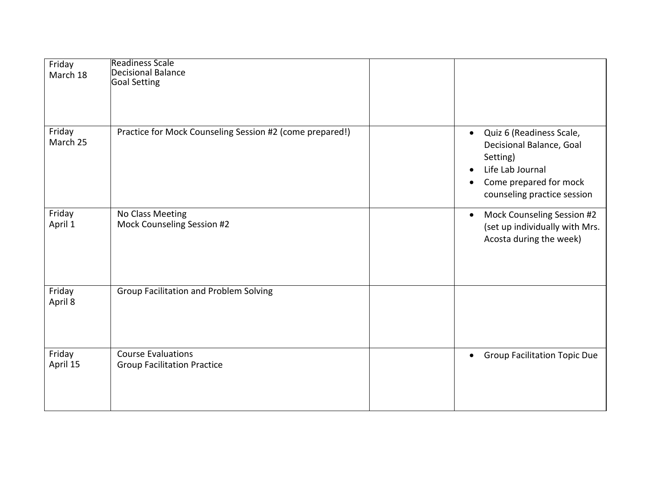| Friday<br>March 18 | <b>Readiness Scale</b><br>Decisional Balance<br>Goal Setting    |                                                                                                                                                                                      |
|--------------------|-----------------------------------------------------------------|--------------------------------------------------------------------------------------------------------------------------------------------------------------------------------------|
| Friday<br>March 25 | Practice for Mock Counseling Session #2 (come prepared!)        | Quiz 6 (Readiness Scale,<br>$\bullet$<br>Decisional Balance, Goal<br>Setting)<br>Life Lab Journal<br>$\bullet$<br>Come prepared for mock<br>$\bullet$<br>counseling practice session |
| Friday<br>April 1  | No Class Meeting<br>Mock Counseling Session #2                  | Mock Counseling Session #2<br>$\bullet$<br>(set up individually with Mrs.<br>Acosta during the week)                                                                                 |
| Friday<br>April 8  | <b>Group Facilitation and Problem Solving</b>                   |                                                                                                                                                                                      |
| Friday<br>April 15 | <b>Course Evaluations</b><br><b>Group Facilitation Practice</b> | <b>Group Facilitation Topic Due</b><br>$\bullet$                                                                                                                                     |